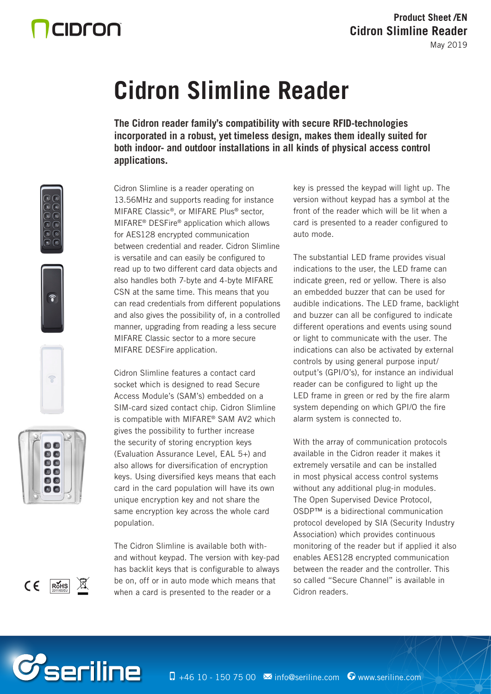# CIDron

# **Cidron Slimline Reader**

**The Cidron reader family's compatibility with secure RFID-technologies incorporated in a robust, yet timeless design, makes them ideally suited for both indoor- and outdoor installations in all kinds of physical access control applications.**

Cidron Slimline is a reader operating on 13.56MHz and supports reading for instance MIFARE Classic®, or MIFARE Plus® sector, MIFARE® DESFire® application which allows for AES128 encrypted communication between credential and reader. Cidron Slimline is versatile and can easily be configured to read up to two different card data objects and also handles both 7-byte and 4-byte MIFARE CSN at the same time. This means that you can read credentials from different populations and also gives the possibility of, in a controlled manner, upgrading from reading a less secure MIFARE Classic sector to a more secure MIFARE DESFire application.

Cidron Slimline features a contact card socket which is designed to read Secure Access Module's (SAM's) embedded on a SIM-card sized contact chip. Cidron Slimline is compatible with MIFARE® SAM AV2 which gives the possibility to further increase the security of storing encryption keys (Evaluation Assurance Level, EAL 5+) and also allows for diversification of encryption keys. Using diversified keys means that each card in the card population will have its own unique encryption key and not share the same encryption key across the whole card population.

The Cidron Slimline is available both withand without keypad. The version with key-pad has backlit keys that is configurable to always be on, off or in auto mode which means that when a card is presented to the reader or a

key is pressed the keypad will light up. The version without keypad has a symbol at the front of the reader which will be lit when a card is presented to a reader configured to auto mode.

The substantial LED frame provides visual indications to the user, the LED frame can indicate green, red or yellow. There is also an embedded buzzer that can be used for audible indications. The LED frame, backlight and buzzer can all be configured to indicate different operations and events using sound or light to communicate with the user. The indications can also be activated by external controls by using general purpose input/ output's (GPI/O's), for instance an individual reader can be configured to light up the LED frame in green or red by the fire alarm system depending on which GPI/O the fire alarm system is connected to.

With the array of communication protocols available in the Cidron reader it makes it extremely versatile and can be installed in most physical access control systems without any additional plug-in modules. The Open Supervised Device Protocol, OSDP™ is a bidirectional communication protocol developed by SIA (Security Industry Association) which provides continuous monitoring of the reader but if applied it also enables AES128 encrypted communication between the reader and the controller. This so called "Secure Channel" is available in Cidron readers.











*C*seriline